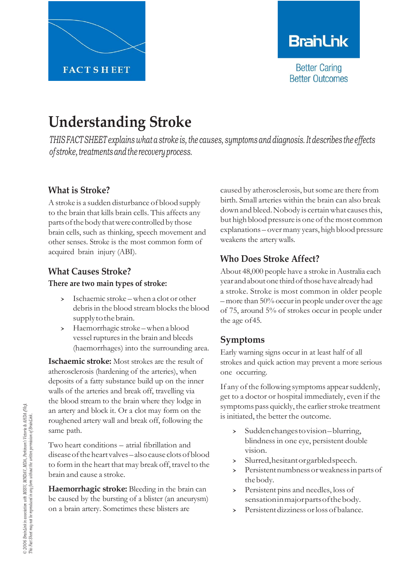

# **BranLink**

**Better Caring Better Outcomes** 

# **Understanding Stroke**

*THIS FACTSHEET explains what a stroke is,the causes, symptoms and diagnosis. Itdescribes the effects ofstroke,treatmentsandthe recoveryprocess.*

## **What is Stroke?**

Astroke is a sudden disturbance of blood supply to the brain that kills brain cells. This affects any parts of the body that were controlled by those brain cells, such as thinking, speech movement and other senses. Stroke is the most common form of acquired brain injury (ABI).

## **What Causes Stroke?**

#### **There are two main types of stroke:**

- › Ischaemic stroke –when <sup>a</sup> clot or other debris in the blood stream blocks the blood supply to the brain.
- › Haemorrhagic stroke –when <sup>a</sup> blood vessel ruptures in the brain and bleeds (haemorrhages) into the surrounding area.

**Ischaemic stroke:** Most strokes are the result of atherosclerosis (hardening of the arteries), when deposits of a fatty substance build up on the inner walls of the arteries and break off, travelling via the blood stream to the brain where they lodge in an artery and block it. Or a clot may form on the roughened artery wall and break off, following the same path.

Two heart conditions – atrial fibrillation and diseaseoftheheartvalves–alsocause clotsofblood to form in the heart that may break off, travel to the brain and cause a stroke.

**Haemorrhagic stroke:** Bleeding in the brain can be caused by the bursting of a blister (an aneurysm) on a brain artery. Sometimes these blisters are

caused by atherosclerosis, but some are there from birth. Small arteries within the brain can also break down and bleed. Nobody is certain what causes this, but high blood pressure is one of the most common explanations – overmany years, high blood pressure weakens the arterywalls.

# **Who Does Stroke Affect?**

About 48,000 people have a stroke in Australia each year andaboutone thirdofthosehave alreadyhad a stroke. Stroke is most common in older people – more than  $50\%$  occur in people under over the age of 75, around 5% of strokes occur in people under the age of45.

## **Symptoms**

Early warning signs occur in at least half of all strokes and quick action may prevent a more serious one occurring.

If any of the following symptoms appear suddenly, get to a doctor or hospital immediately, even if the symptoms pass quickly, the earlier stroke treatment is initiated, the better the outcome.

- › Suddenchangestovision–blurring, blindness in one eye, persistent double vision.
- › Slurred,hesitantorgarbledspeech.
- › Persistentnumbness orweaknessinpartsof thebody.
- › Persistent pins and needles, loss of sensationinmajorpartsofthebody.
- › Persistentdizziness orloss of balance.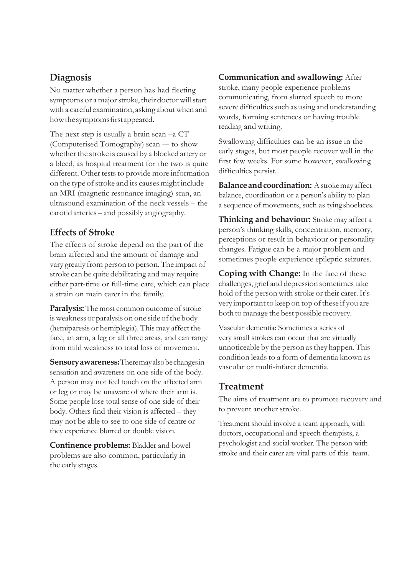### **Diagnosis**

No matter whether a person has had fleeting symptoms or a major stroke, their doctor will start with a careful examination, asking aboutwhen and how the symptoms first appeared.

The next step is usually a brain scan –a CT (Computerised Tomography) scan -- to show whether the stroke is caused by a blocked artery or a bleed, as hospital treatment for the two is quite different. Other tests to provide more information on the type of stroke and its causes might include an MRI (magnetic resonance imaging) scan, an ultrasound examination of the neck vessels – the carotid arteries – and possibly angiography.

#### **Effects of Stroke**

The effects of stroke depend on the part of the brain affected and the amount of damage and vary greatly fromperson to person.The impact of stroke can be quite debilitating and may require either part-time or full-time care, which can place a strain on main carer in the family.

**Paralysis:** The most common outcome of stroke is weakness or paralysis on one side of the body (hemiparesis or hemiplegia). This may affect the face, an arm, a leg or all three areas, and can range from mild weakness to total loss of movement.

**Sensoryawareness:**Theremayalsobechangesin sensation and awareness on one side of the body. A person may not feel touch on the affected arm or leg or may be unaware of where their arm is. Some people lose total sense of one side of their body. Others find their vision is affected – they may not be able to see to one side of centre or they experience blurred or double vision.

**Continence problems:** Bladder and bowel problems are also common, particularly in the early stages.

#### **Communication and swallowing:** After

stroke, many people experience problems communicating, from slurred speech to more severe difficulties such as using and understanding words, forming sentences or having trouble reading and writing.

Swallowing difficulties can be an issue in the early stages, but most people recover well in the first few weeks. For some however, swallowing difficulties persist.

**Balance and coordination:** A stroke may affect balance, coordination or a person's ability to plan a sequence of movements, such as tyingshoelaces.

**Thinking and behaviour:** Stroke may affect a person's thinking skills, concentration, memory, perceptions or result in behaviour or personality changes. Fatigue can be a major problem and sometimes people experience epileptic seizures.

**Coping with Change:** In the face of these challenges, grief and depression sometimes take hold of the person with stroke or their carer.It's very important to keep on top of these if you are both to manage the best possible recovery.

Vascular dementia: Sometimes a series of very small strokes can occur that are virtually unnoticeable by the person asthey happen.This condition leads to a form of dementia known as vascular or multi-infarct dementia.

#### **Treatment**

The aims of treatment are to promote recovery and to prevent another stroke.

Treatment should involve a team approach, with doctors, occupational and speech therapists, a psychologist and social worker. The person with stroke and their carer are vital parts of this team.